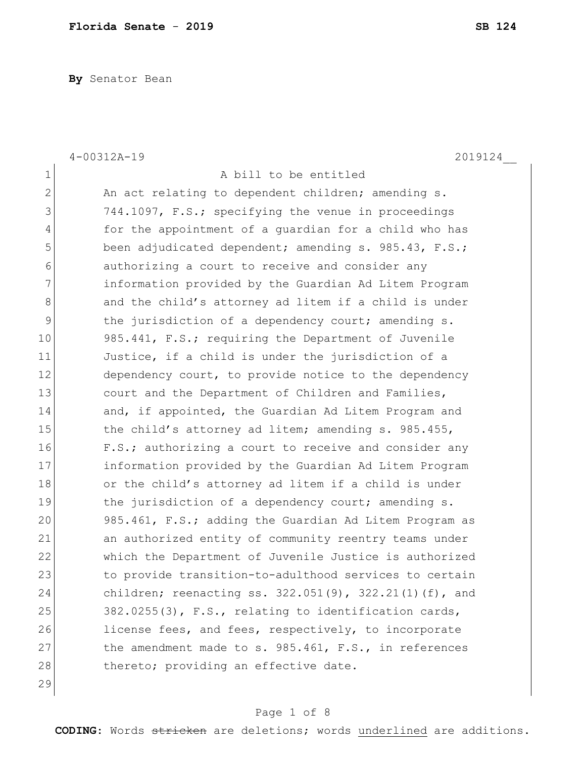**By** Senator Bean

|                | 2019124<br>$4 - 00312A - 19$                                 |
|----------------|--------------------------------------------------------------|
| $\mathbf 1$    | A bill to be entitled                                        |
| $\overline{2}$ | An act relating to dependent children; amending s.           |
| 3              | 744.1097, F.S.; specifying the venue in proceedings          |
| 4              | for the appointment of a guardian for a child who has        |
| 5              | been adjudicated dependent; amending s. 985.43, F.S.;        |
| 6              | authorizing a court to receive and consider any              |
| 7              | information provided by the Guardian Ad Litem Program        |
| 8              | and the child's attorney ad litem if a child is under        |
| 9              | the jurisdiction of a dependency court; amending s.          |
| 10             | 985.441, F.S.; requiring the Department of Juvenile          |
| 11             | Justice, if a child is under the jurisdiction of a           |
| 12             | dependency court, to provide notice to the dependency        |
| 13             | court and the Department of Children and Families,           |
| 14             | and, if appointed, the Guardian Ad Litem Program and         |
| 15             | the child's attorney ad litem; amending s. 985.455,          |
| 16             | F.S.; authorizing a court to receive and consider any        |
| 17             | information provided by the Guardian Ad Litem Program        |
| 18             | or the child's attorney ad litem if a child is under         |
| 19             | the jurisdiction of a dependency court; amending s.          |
| 20             | 985.461, F.S.; adding the Guardian Ad Litem Program as       |
| 21             | an authorized entity of community reentry teams under        |
| 22             | which the Department of Juvenile Justice is authorized       |
| 23             | to provide transition-to-adulthood services to certain       |
| 24             | children; reenacting ss. $322.051(9)$ , $322.21(1)(f)$ , and |
| 25             | 382.0255(3), F.S., relating to identification cards,         |
| 26             | license fees, and fees, respectively, to incorporate         |
| 27             | the amendment made to s. 985.461, F.S., in references        |
| 28             | thereto; providing an effective date.                        |
| 29             |                                                              |

# Page 1 of 8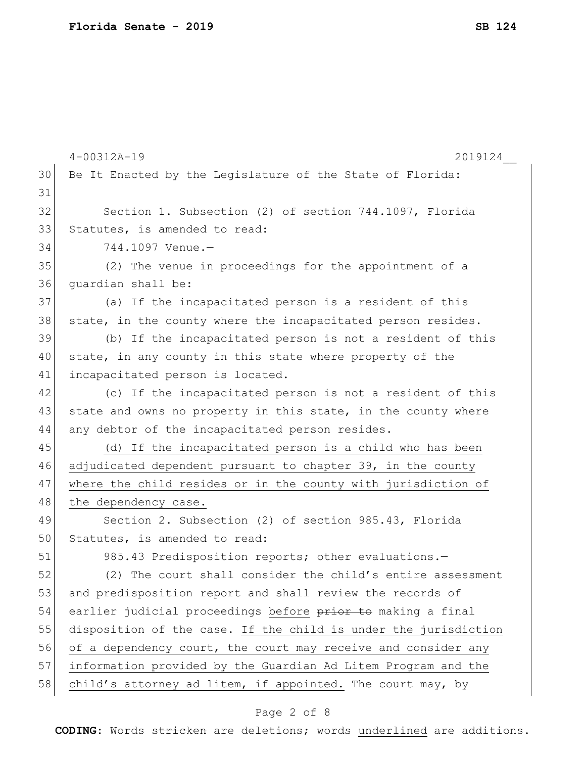|    | $4 - 00312A - 19$<br>2019124                                    |
|----|-----------------------------------------------------------------|
| 30 | Be It Enacted by the Legislature of the State of Florida:       |
| 31 |                                                                 |
| 32 | Section 1. Subsection (2) of section 744.1097, Florida          |
| 33 | Statutes, is amended to read:                                   |
| 34 | 744.1097 Venue.-                                                |
| 35 | (2) The venue in proceedings for the appointment of a           |
| 36 | quardian shall be:                                              |
| 37 | (a) If the incapacitated person is a resident of this           |
| 38 | state, in the county where the incapacitated person resides.    |
| 39 | (b) If the incapacitated person is not a resident of this       |
| 40 | state, in any county in this state where property of the        |
| 41 | incapacitated person is located.                                |
| 42 | (c) If the incapacitated person is not a resident of this       |
| 43 | state and owns no property in this state, in the county where   |
| 44 | any debtor of the incapacitated person resides.                 |
| 45 | If the incapacitated person is a child who has been<br>(d)      |
| 46 | adjudicated dependent pursuant to chapter 39, in the county     |
| 47 | where the child resides or in the county with jurisdiction of   |
| 48 | the dependency case.                                            |
| 49 | Section 2. Subsection (2) of section 985.43, Florida            |
| 50 | Statutes, is amended to read:                                   |
| 51 | 985.43 Predisposition reports; other evaluations.-              |
| 52 | (2) The court shall consider the child's entire assessment      |
| 53 | and predisposition report and shall review the records of       |
| 54 | earlier judicial proceedings before prior to making a final     |
| 55 | disposition of the case. If the child is under the jurisdiction |
| 56 | of a dependency court, the court may receive and consider any   |
| 57 | information provided by the Guardian Ad Litem Program and the   |
| 58 | child's attorney ad litem, if appointed. The court may, by      |

# Page 2 of 8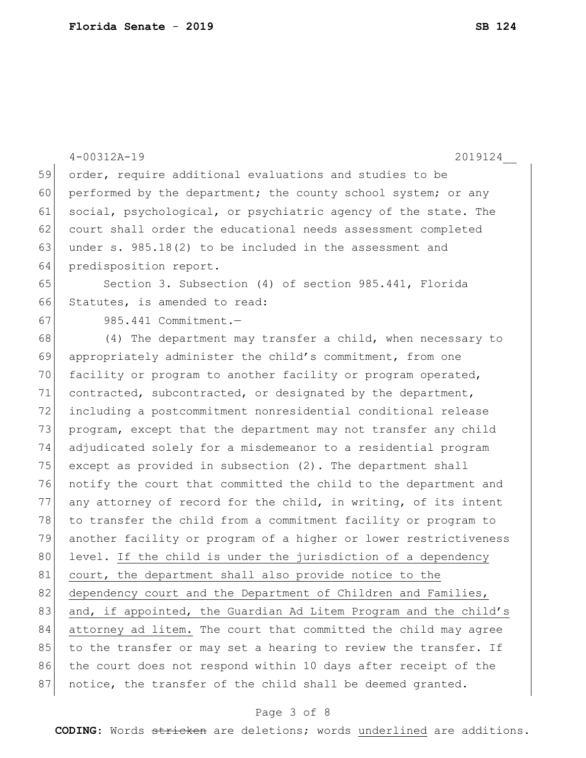|    | $4 - 00312A - 19$<br>2019124                                     |
|----|------------------------------------------------------------------|
| 59 | order, require additional evaluations and studies to be          |
| 60 | performed by the department; the county school system; or any    |
| 61 | social, psychological, or psychiatric agency of the state. The   |
| 62 | court shall order the educational needs assessment completed     |
| 63 | under s. $985.18(2)$ to be included in the assessment and        |
| 64 | predisposition report.                                           |
| 65 | Section 3. Subsection (4) of section 985.441, Florida            |
| 66 | Statutes, is amended to read:                                    |
| 67 | 985.441 Commitment.-                                             |
| 68 | (4) The department may transfer a child, when necessary to       |
| 69 | appropriately administer the child's commitment, from one        |
| 70 | facility or program to another facility or program operated,     |
| 71 | contracted, subcontracted, or designated by the department,      |
| 72 | including a postcommitment nonresidential conditional release    |
| 73 | program, except that the department may not transfer any child   |
| 74 | adjudicated solely for a misdemeanor to a residential program    |
| 75 | except as provided in subsection (2). The department shall       |
| 76 | notify the court that committed the child to the department and  |
| 77 | any attorney of record for the child, in writing, of its intent  |
| 78 | to transfer the child from a commitment facility or program to   |
| 79 | another facility or program of a higher or lower restrictiveness |
| 80 | level. If the child is under the jurisdiction of a dependency    |
| 81 | court, the department shall also provide notice to the           |
| 82 | dependency court and the Department of Children and Families,    |
| 83 | and, if appointed, the Guardian Ad Litem Program and the child's |
| 84 | attorney ad litem. The court that committed the child may agree  |
| 85 | to the transfer or may set a hearing to review the transfer. If  |
| 86 | the court does not respond within 10 days after receipt of the   |
| 87 | notice, the transfer of the child shall be deemed granted.       |

# Page 3 of 8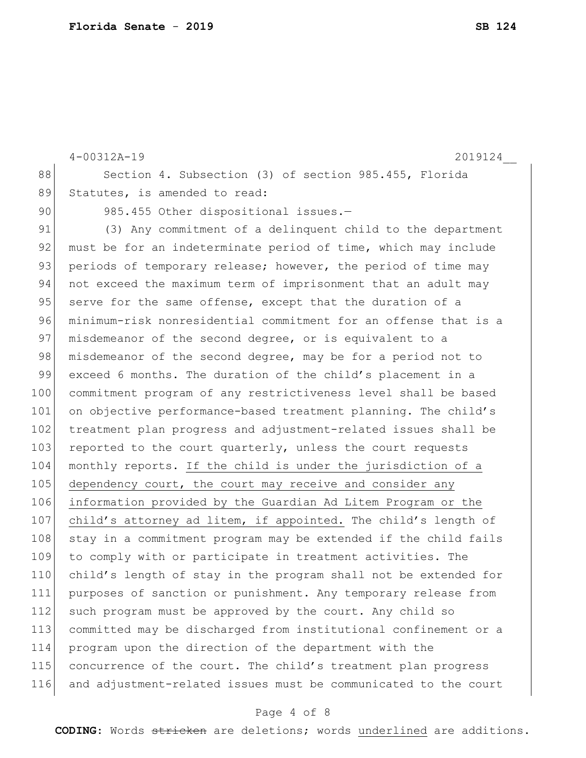```
4-00312A-19 2019124__
88 Section 4. Subsection (3) of section 985.455, Florida
89 Statutes, is amended to read:
 90 985.455 Other dispositional issues.-
 91 (3) Any commitment of a delinquent child to the department
 92 must be for an indeterminate period of time, which may include
93 periods of temporary release; however, the period of time may
94 not exceed the maximum term of imprisonment that an adult may
95 serve for the same offense, except that the duration of a
96 minimum-risk nonresidential commitment for an offense that is a 
97 misdemeanor of the second degree, or is equivalent to a
98 misdemeanor of the second degree, may be for a period not to
99 exceed 6 months. The duration of the child's placement in a
100 commitment program of any restrictiveness level shall be based 
101 on objective performance-based treatment planning. The child's
102 | treatment plan progress and adjustment-related issues shall be
103 reported to the court quarterly, unless the court requests
104 monthly reports. If the child is under the jurisdiction of a 
105 dependency court, the court may receive and consider any
106 information provided by the Guardian Ad Litem Program or the 
107 child's attorney ad litem, if appointed. The child's length of
108 stay in a commitment program may be extended if the child fails
109 to comply with or participate in treatment activities. The 
110 child's length of stay in the program shall not be extended for 
111 purposes of sanction or punishment. Any temporary release from 
112 such program must be approved by the court. Any child so
113 committed may be discharged from institutional confinement or a 
114 program upon the direction of the department with the 
115 concurrence of the court. The child's treatment plan progress 
116 and adjustment-related issues must be communicated to the court
```
### Page 4 of 8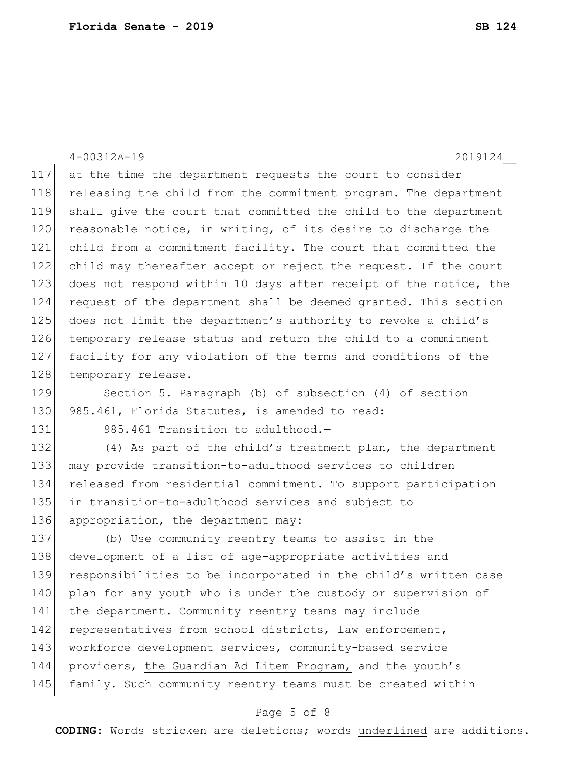4-00312A-19 2019124\_\_ at the time the department requests the court to consider 118 releasing the child from the commitment program. The department shall give the court that committed the child to the department 120 reasonable notice, in writing, of its desire to discharge the child from a commitment facility. The court that committed the child may thereafter accept or reject the request. If the court 123 does not respond within 10 days after receipt of the notice, the request of the department shall be deemed granted. This section does not limit the department's authority to revoke a child's temporary release status and return the child to a commitment facility for any violation of the terms and conditions of the 128 temporary release. Section 5. Paragraph (b) of subsection (4) of section 130 985.461, Florida Statutes, is amended to read: 131 985.461 Transition to adulthood.-132 (4) As part of the child's treatment plan, the department may provide transition-to-adulthood services to children released from residential commitment. To support participation in transition-to-adulthood services and subject to 136 appropriation, the department may: (b) Use community reentry teams to assist in the development of a list of age-appropriate activities and responsibilities to be incorporated in the child's written case 140 plan for any youth who is under the custody or supervision of the department. Community reentry teams may include 142 representatives from school districts, law enforcement, workforce development services, community-based service providers, the Guardian Ad Litem Program, and the youth's family. Such community reentry teams must be created within

# Page 5 of 8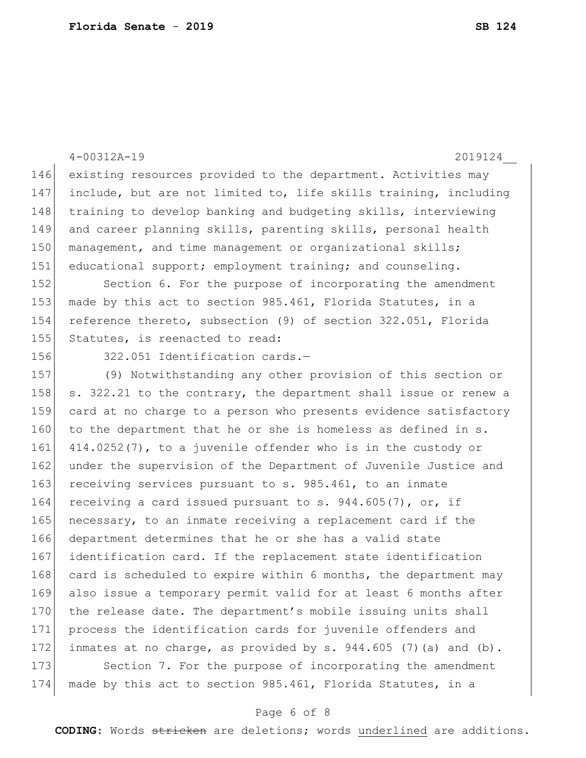|     | $4 - 00312A - 19$<br>2019124                                       |
|-----|--------------------------------------------------------------------|
| 146 | existing resources provided to the department. Activities may      |
| 147 | include, but are not limited to, life skills training, including   |
| 148 | training to develop banking and budgeting skills, interviewing     |
| 149 | and career planning skills, parenting skills, personal health      |
| 150 | management, and time management or organizational skills;          |
| 151 | educational support; employment training; and counseling.          |
| 152 | Section 6. For the purpose of incorporating the amendment          |
| 153 | made by this act to section 985.461, Florida Statutes, in a        |
| 154 | reference thereto, subsection (9) of section 322.051, Florida      |
| 155 | Statutes, is reenacted to read:                                    |
| 156 | 322.051 Identification cards.-                                     |
| 157 | (9) Notwithstanding any other provision of this section or         |
| 158 | s. 322.21 to the contrary, the department shall issue or renew a   |
| 159 | card at no charge to a person who presents evidence satisfactory   |
| 160 | to the department that he or she is homeless as defined in s.      |
| 161 | 414.0252(7), to a juvenile offender who is in the custody or       |
| 162 | under the supervision of the Department of Juvenile Justice and    |
| 163 | receiving services pursuant to s. 985.461, to an inmate            |
| 164 | receiving a card issued pursuant to s. $944.605(7)$ , or, if       |
| 165 | necessary, to an inmate receiving a replacement card if the        |
| 166 | department determines that he or she has a valid state             |
| 167 | identification card. If the replacement state identification       |
| 168 | card is scheduled to expire within 6 months, the department may    |
| 169 | also issue a temporary permit valid for at least 6 months after    |
| 170 | the release date. The department's mobile issuing units shall      |
| 171 | process the identification cards for juvenile offenders and        |
| 172 | inmates at no charge, as provided by s. $944.605$ (7) (a) and (b). |
| 173 | Section 7. For the purpose of incorporating the amendment          |
| 174 | made by this act to section 985.461, Florida Statutes, in a        |

# Page 6 of 8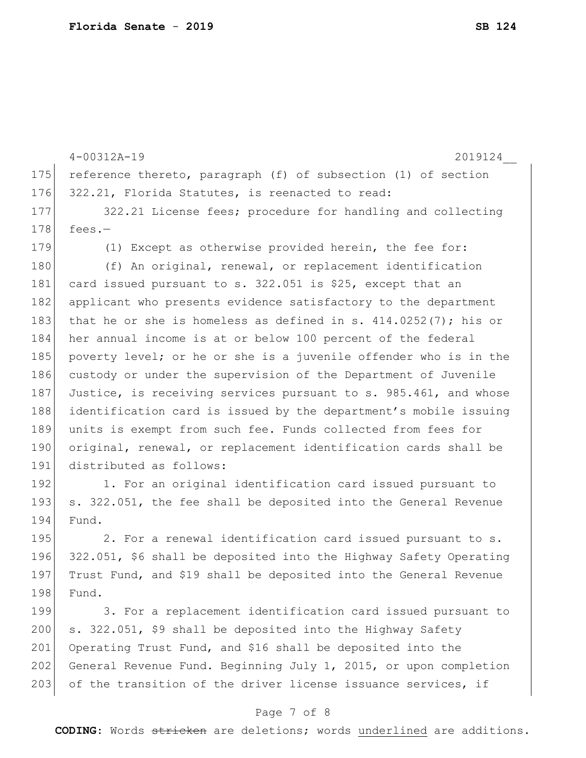|     | $4 - 00312A - 19$<br>2019124                                       |
|-----|--------------------------------------------------------------------|
| 175 | reference thereto, paragraph (f) of subsection (1) of section      |
| 176 | 322.21, Florida Statutes, is reenacted to read:                    |
| 177 | 322.21 License fees; procedure for handling and collecting         |
| 178 | fees. $-$                                                          |
| 179 | (1) Except as otherwise provided herein, the fee for:              |
| 180 | (f) An original, renewal, or replacement identification            |
| 181 | card issued pursuant to s. 322.051 is \$25, except that an         |
| 182 | applicant who presents evidence satisfactory to the department     |
| 183 | that he or she is homeless as defined in s. $414.0252(7)$ ; his or |
| 184 | her annual income is at or below 100 percent of the federal        |
| 185 | poverty level; or he or she is a juvenile offender who is in the   |
| 186 | custody or under the supervision of the Department of Juvenile     |
| 187 | Justice, is receiving services pursuant to s. 985.461, and whose   |
| 188 | identification card is issued by the department's mobile issuing   |
| 189 | units is exempt from such fee. Funds collected from fees for       |
| 190 | original, renewal, or replacement identification cards shall be    |
| 191 | distributed as follows:                                            |
| 192 | 1. For an original identification card issued pursuant to          |
| 193 | s. 322.051, the fee shall be deposited into the General Revenue    |
| 194 | Fund.                                                              |
| 195 | 2. For a renewal identification card issued pursuant to s.         |
| 196 | 322.051, \$6 shall be deposited into the Highway Safety Operating  |
| 197 | Trust Fund, and \$19 shall be deposited into the General Revenue   |
| 198 | Fund.                                                              |
| 199 | 3. For a replacement identification card issued pursuant to        |
| 200 | s. 322.051, \$9 shall be deposited into the Highway Safety         |
| 201 | Operating Trust Fund, and \$16 shall be deposited into the         |
| 202 | General Revenue Fund. Beginning July 1, 2015, or upon completion   |
| 203 | of the transition of the driver license issuance services, if      |

# Page 7 of 8